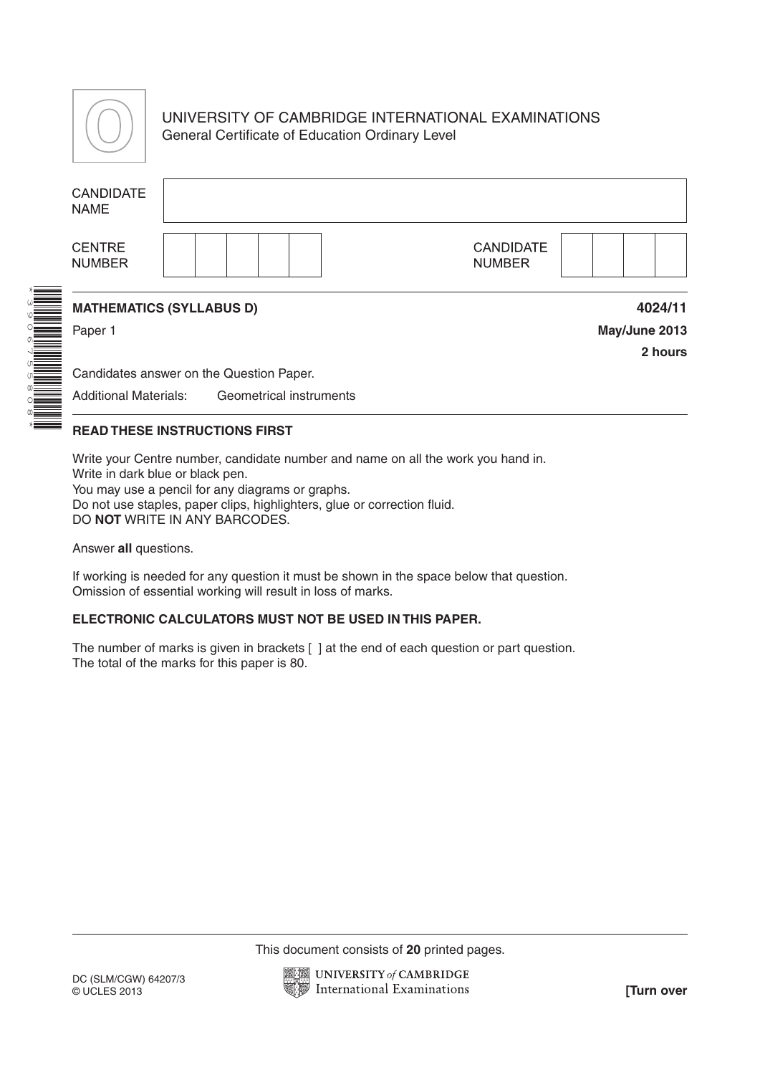

## UNIVERSITY OF CAMBRIDGE INTERNATIONAL EXAMINATIONS General Certificate of Education Ordinary Level

|                                                         | <b>CANDIDATE</b><br><b>NUMBER</b> |               |  |  |  |  |
|---------------------------------------------------------|-----------------------------------|---------------|--|--|--|--|
| <b>MATHEMATICS (SYLLABUS D)</b>                         |                                   | 4024/11       |  |  |  |  |
|                                                         |                                   | May/June 2013 |  |  |  |  |
|                                                         |                                   | 2 hours       |  |  |  |  |
| Candidates answer on the Question Paper.                |                                   |               |  |  |  |  |
| <b>Additional Materials:</b><br>Geometrical instruments |                                   |               |  |  |  |  |
|                                                         |                                   |               |  |  |  |  |

## **READ THESE INSTRUCTIONS FIRST**

Write your Centre number, candidate number and name on all the work you hand in. Write in dark blue or black pen. You may use a pencil for any diagrams or graphs. Do not use staples, paper clips, highlighters, glue or correction fluid. DO **NOT** WRITE IN ANY BARCODES.

Answer **all** questions.

If working is needed for any question it must be shown in the space below that question. Omission of essential working will result in loss of marks.

## **ELECTRONIC CALCULATORS MUST NOT BE USED IN THIS PAPER.**

The number of marks is given in brackets [ ] at the end of each question or part question. The total of the marks for this paper is 80.

This document consists of **20** printed pages.

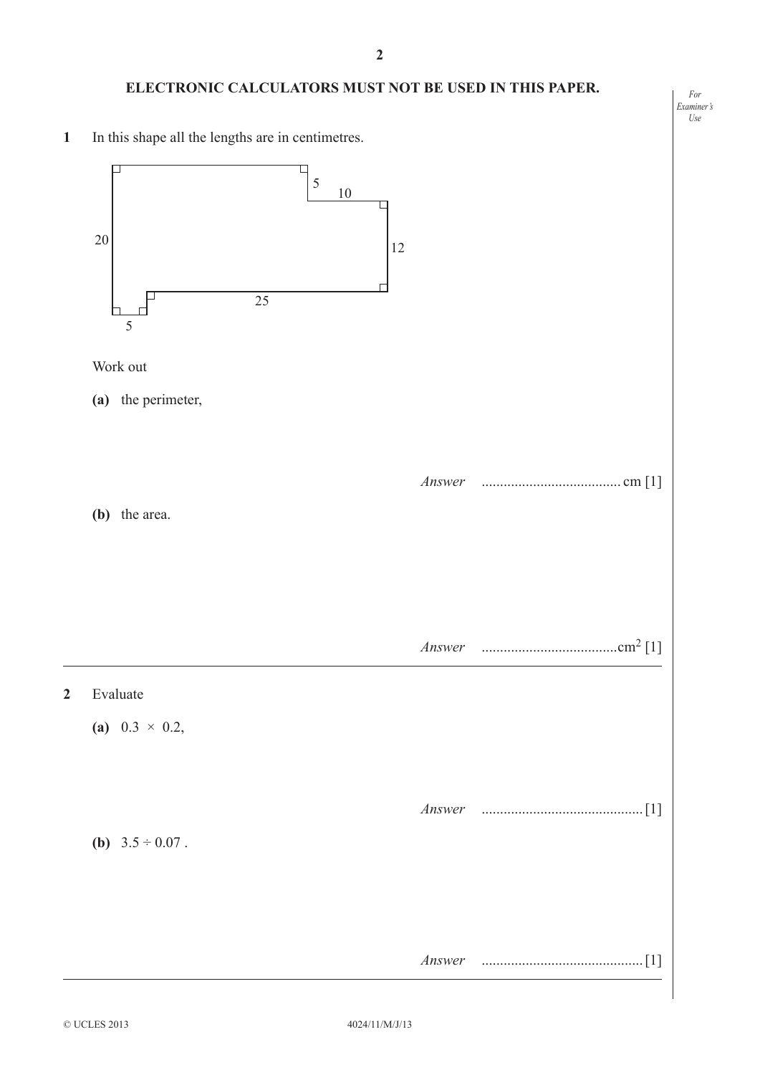## **ELECTRONIC CALCULATORS MUST NOT BE USED IN THIS PAPER.**

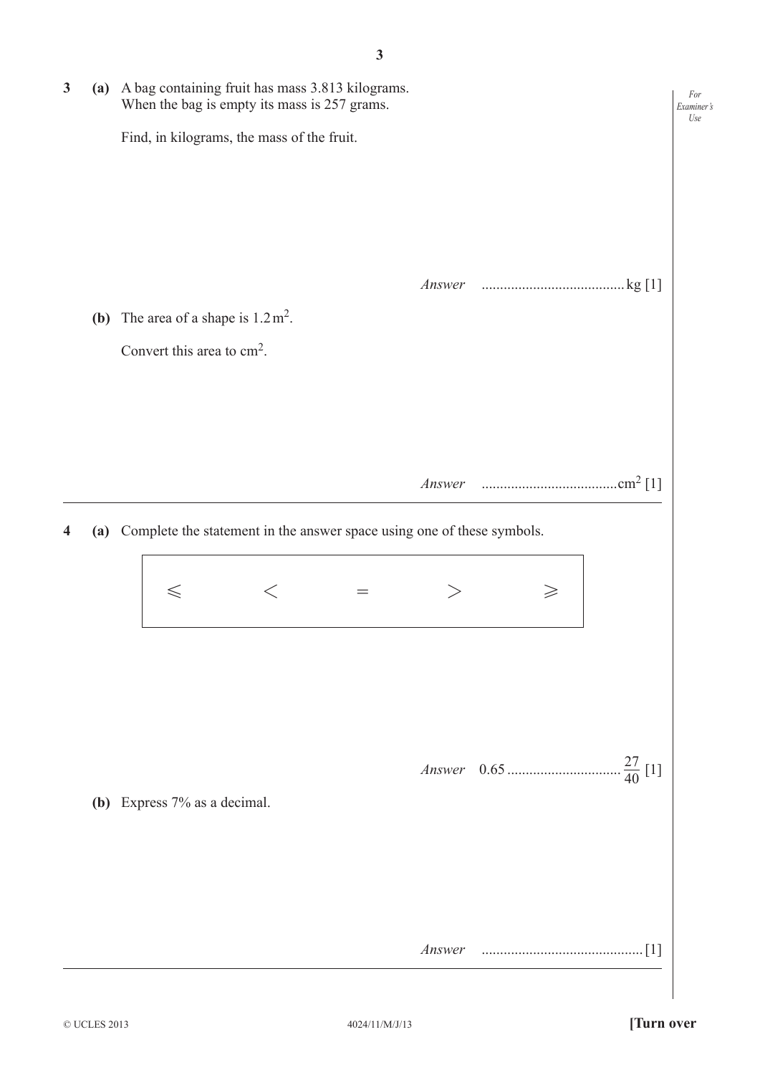| $\mathbf{3}$ |     | (a) A bag containing fruit has mass 3.813 kilograms.<br>When the bag is empty its mass is 257 grams. |        |             |                   | For<br>Examiner's<br>Use |
|--------------|-----|------------------------------------------------------------------------------------------------------|--------|-------------|-------------------|--------------------------|
|              |     | Find, in kilograms, the mass of the fruit.                                                           |        |             |                   |                          |
|              |     |                                                                                                      |        |             |                   |                          |
|              |     |                                                                                                      |        |             |                   |                          |
|              |     |                                                                                                      |        |             |                   |                          |
|              | (b) | The area of a shape is $1.2 \text{ m}^2$ .                                                           |        |             |                   |                          |
|              |     | Convert this area to $cm2$ .                                                                         |        |             |                   |                          |
|              |     |                                                                                                      |        |             |                   |                          |
|              |     |                                                                                                      |        |             |                   |                          |
|              |     |                                                                                                      | Answer |             |                   |                          |
| 4            |     | (a) Complete the statement in the answer space using one of these symbols.                           |        |             |                   |                          |
|              |     |                                                                                                      |        |             |                   |                          |
|              |     | $\leq$                                                                                               |        | $\geqslant$ |                   |                          |
|              |     |                                                                                                      |        |             |                   |                          |
|              |     |                                                                                                      |        |             |                   |                          |
|              |     |                                                                                                      |        |             |                   |                          |
|              |     |                                                                                                      |        |             | $rac{27}{40}$ [1] |                          |
|              |     | (b) Express $7\%$ as a decimal.                                                                      |        |             |                   |                          |
|              |     |                                                                                                      |        |             |                   |                          |
|              |     |                                                                                                      |        |             |                   |                          |
|              |     |                                                                                                      |        |             |                   |                          |
|              |     |                                                                                                      | Answer |             | $\lceil 1 \rceil$ |                          |
|              |     |                                                                                                      |        |             |                   |                          |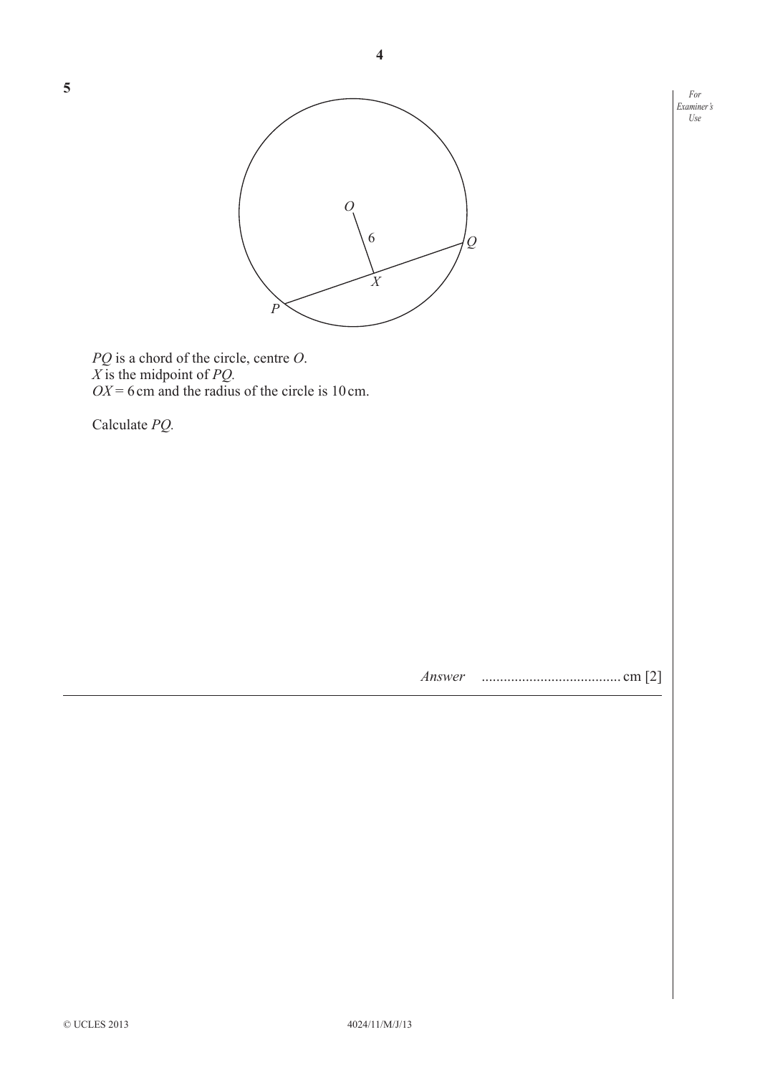



**4**

*PQ* is a chord of the circle, centre *O*. *X* is the midpoint of *PQ.*  $OX = 6$  cm and the radius of the circle is 10 cm.

Calculate *PQ.*

*Answer* ...................................... cm [2]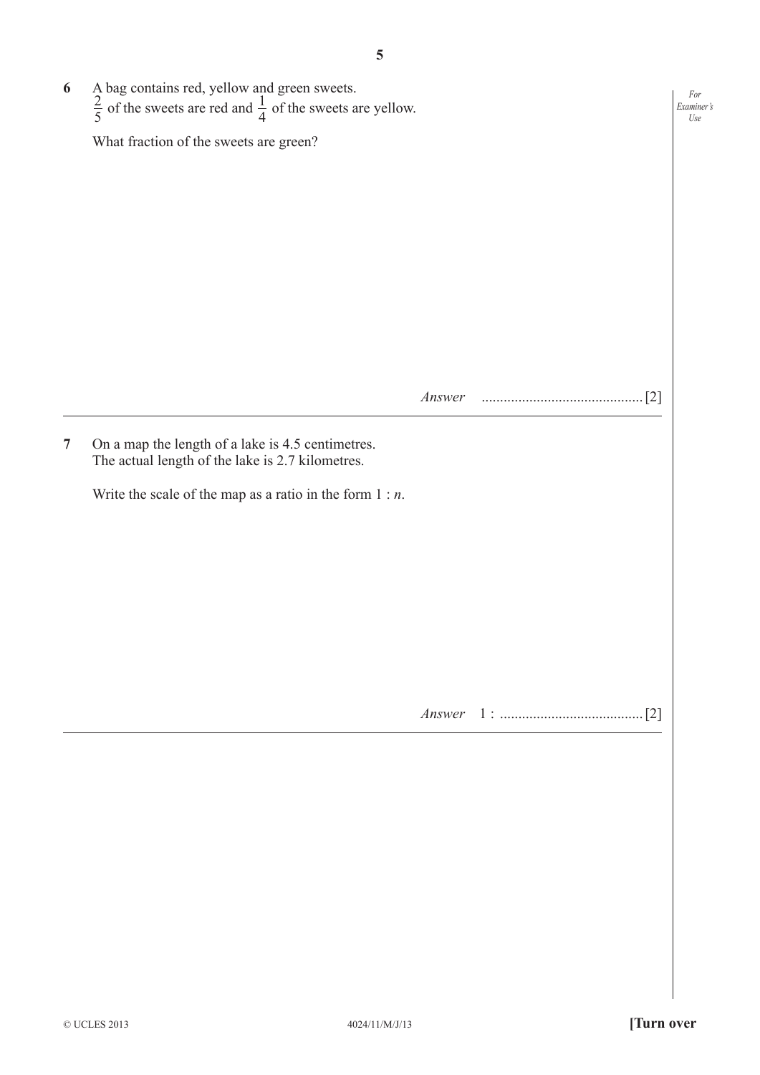

*Answer* 1 : .......................................[2]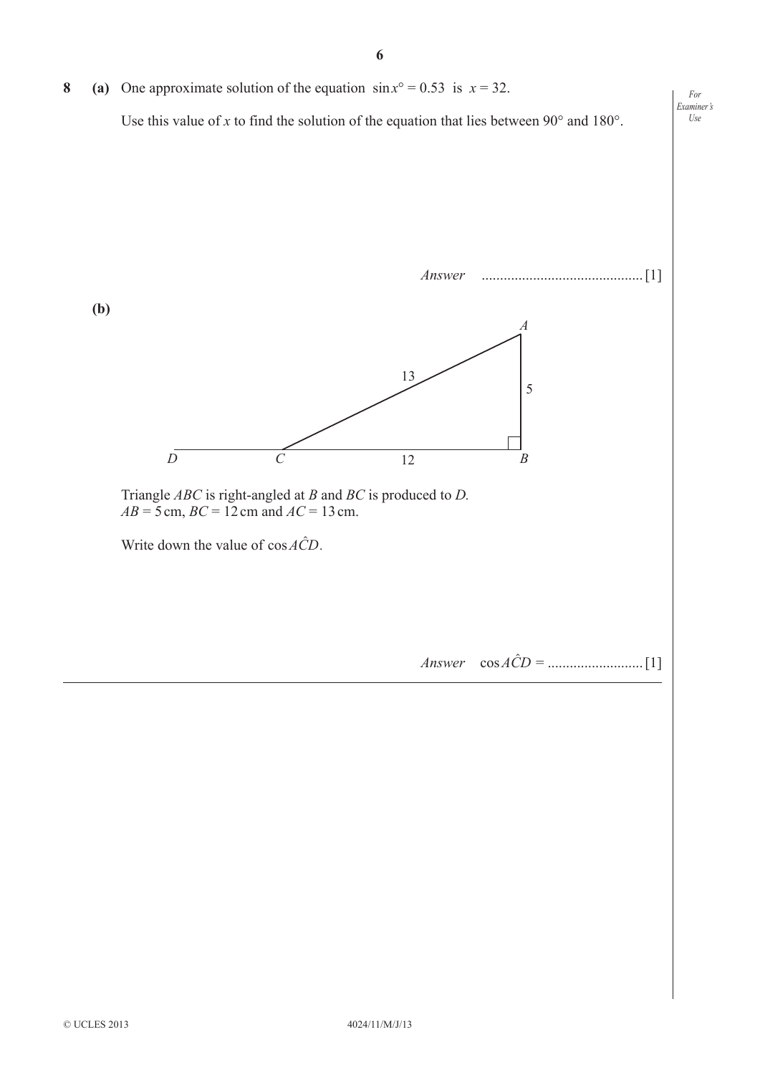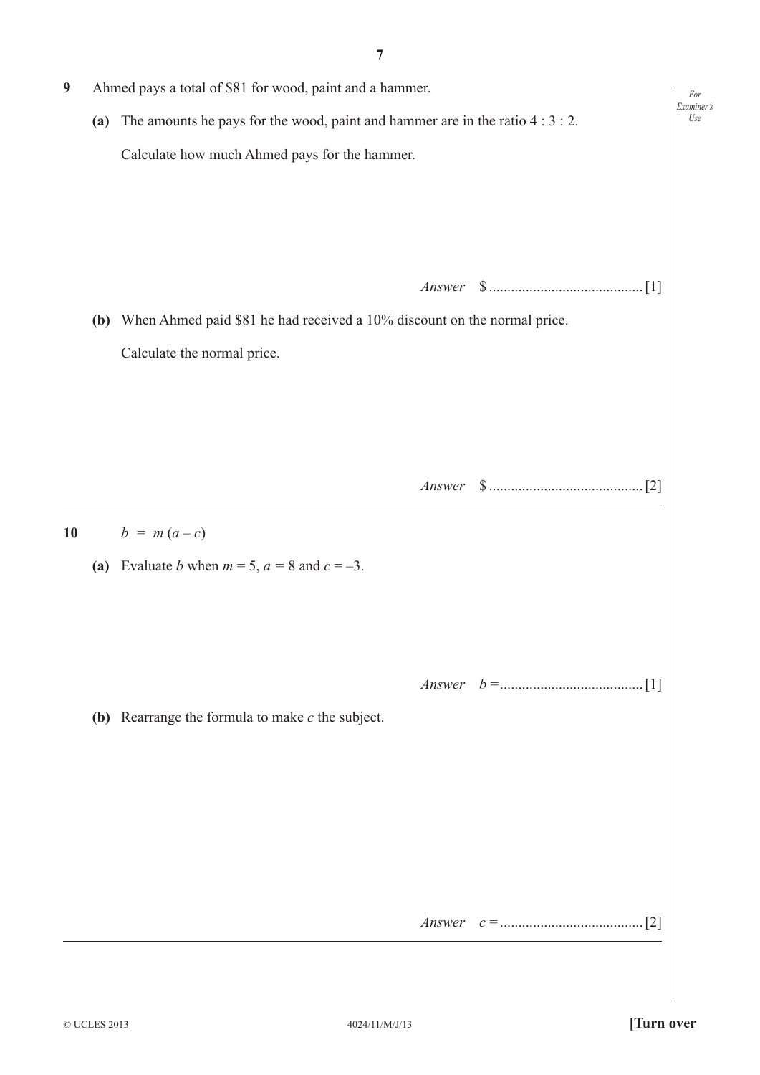| 9  |            | Ahmed pays a total of \$81 for wood, paint and a hammer.                      |                   |  |  |  |  |  |  |  |
|----|------------|-------------------------------------------------------------------------------|-------------------|--|--|--|--|--|--|--|
|    | (a)        | The amounts he pays for the wood, paint and hammer are in the ratio $4:3:2$ . | Examiner's<br>Use |  |  |  |  |  |  |  |
|    |            | Calculate how much Ahmed pays for the hammer.                                 |                   |  |  |  |  |  |  |  |
|    |            |                                                                               |                   |  |  |  |  |  |  |  |
|    |            |                                                                               |                   |  |  |  |  |  |  |  |
|    |            |                                                                               |                   |  |  |  |  |  |  |  |
|    |            |                                                                               |                   |  |  |  |  |  |  |  |
|    | <b>(b)</b> | When Ahmed paid \$81 he had received a 10% discount on the normal price.      |                   |  |  |  |  |  |  |  |
|    |            | Calculate the normal price.                                                   |                   |  |  |  |  |  |  |  |
|    |            |                                                                               |                   |  |  |  |  |  |  |  |
|    |            |                                                                               |                   |  |  |  |  |  |  |  |
|    |            |                                                                               |                   |  |  |  |  |  |  |  |
|    |            |                                                                               |                   |  |  |  |  |  |  |  |
|    |            |                                                                               |                   |  |  |  |  |  |  |  |
| 10 |            | $b = m(a-c)$                                                                  |                   |  |  |  |  |  |  |  |
|    |            | (a) Evaluate <i>b</i> when $m = 5$ , $a = 8$ and $c = -3$ .                   |                   |  |  |  |  |  |  |  |
|    |            |                                                                               |                   |  |  |  |  |  |  |  |
|    |            |                                                                               |                   |  |  |  |  |  |  |  |
|    |            |                                                                               |                   |  |  |  |  |  |  |  |
|    |            | (b) Rearrange the formula to make $c$ the subject.                            |                   |  |  |  |  |  |  |  |
|    |            |                                                                               |                   |  |  |  |  |  |  |  |
|    |            |                                                                               |                   |  |  |  |  |  |  |  |
|    |            |                                                                               |                   |  |  |  |  |  |  |  |
|    |            |                                                                               |                   |  |  |  |  |  |  |  |
|    |            |                                                                               |                   |  |  |  |  |  |  |  |
|    |            |                                                                               |                   |  |  |  |  |  |  |  |
|    |            |                                                                               |                   |  |  |  |  |  |  |  |
|    |            |                                                                               |                   |  |  |  |  |  |  |  |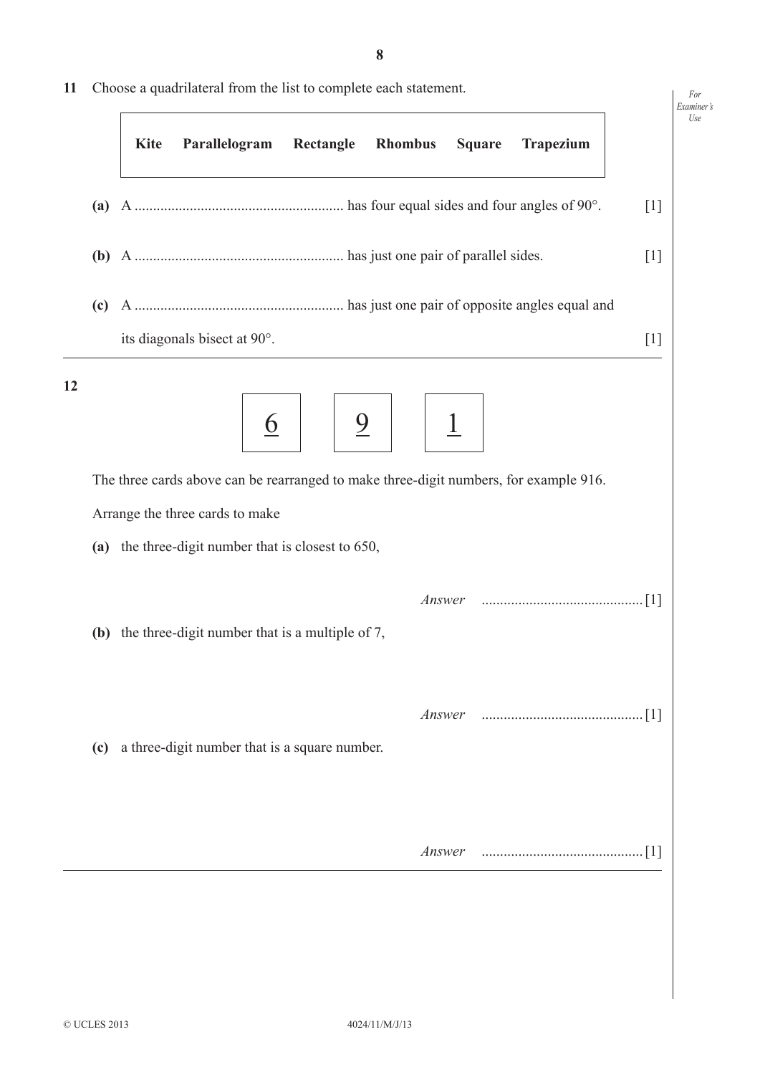|    |     | Choose a quadrilateral from the list to complete each statement. |                                                                                       |           |                |               |  |                  |  |       |
|----|-----|------------------------------------------------------------------|---------------------------------------------------------------------------------------|-----------|----------------|---------------|--|------------------|--|-------|
|    |     | <b>Kite</b>                                                      | Parallelogram                                                                         | Rectangle | <b>Rhombus</b> | <b>Square</b> |  | <b>Trapezium</b> |  |       |
|    |     |                                                                  |                                                                                       |           |                |               |  |                  |  | $[1]$ |
|    |     |                                                                  |                                                                                       |           |                |               |  |                  |  | $[1]$ |
|    | (c) |                                                                  |                                                                                       |           |                |               |  |                  |  |       |
|    |     |                                                                  | its diagonals bisect at 90°.                                                          |           |                |               |  |                  |  | $[1]$ |
| 12 |     |                                                                  |                                                                                       |           |                |               |  |                  |  |       |
|    |     |                                                                  | 6                                                                                     |           | 9              |               |  |                  |  |       |
|    |     |                                                                  |                                                                                       |           |                |               |  |                  |  |       |
|    |     |                                                                  |                                                                                       |           |                |               |  |                  |  |       |
|    |     |                                                                  | The three cards above can be rearranged to make three-digit numbers, for example 916. |           |                |               |  |                  |  |       |
|    |     |                                                                  | Arrange the three cards to make                                                       |           |                |               |  |                  |  |       |
|    | (a) |                                                                  | the three-digit number that is closest to 650,                                        |           |                |               |  |                  |  |       |
|    |     |                                                                  |                                                                                       |           |                |               |  |                  |  |       |
|    |     |                                                                  | (b) the three-digit number that is a multiple of $7$ ,                                |           |                |               |  |                  |  |       |
|    |     |                                                                  |                                                                                       |           |                |               |  |                  |  |       |
|    |     |                                                                  |                                                                                       |           |                |               |  |                  |  |       |
|    |     |                                                                  |                                                                                       |           |                | Answer        |  |                  |  |       |
|    | (c) |                                                                  | a three-digit number that is a square number.                                         |           |                |               |  |                  |  |       |
|    |     |                                                                  |                                                                                       |           |                |               |  |                  |  |       |
|    |     |                                                                  |                                                                                       |           |                | Answer        |  |                  |  |       |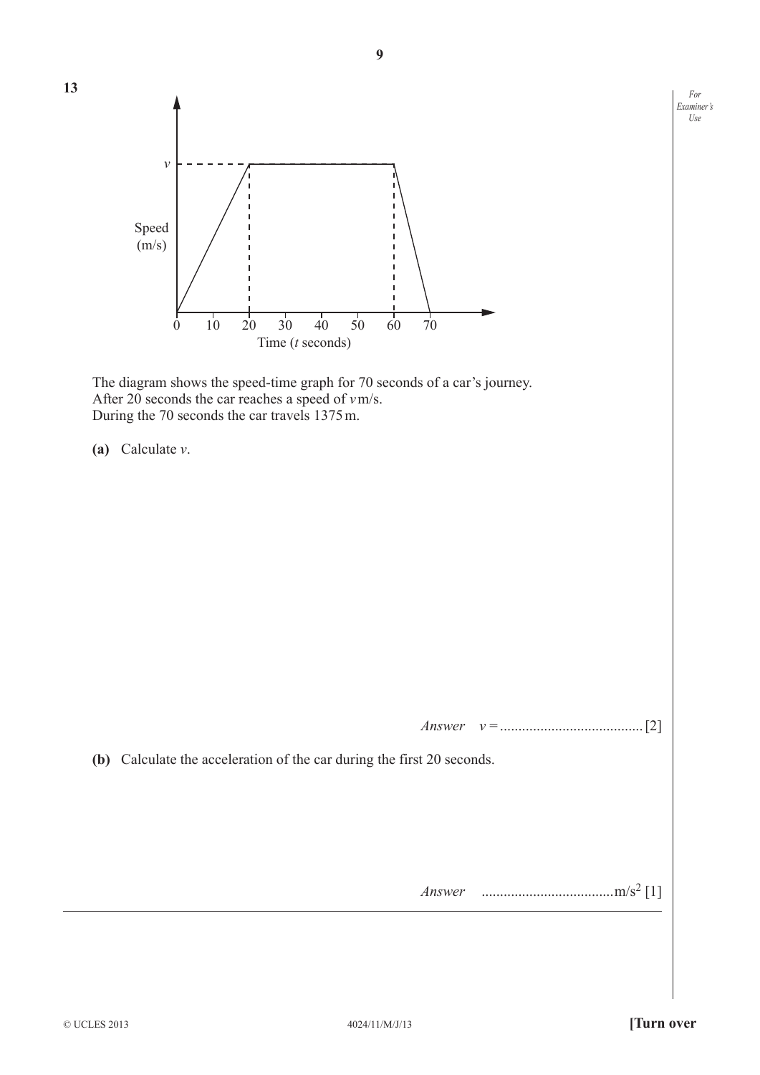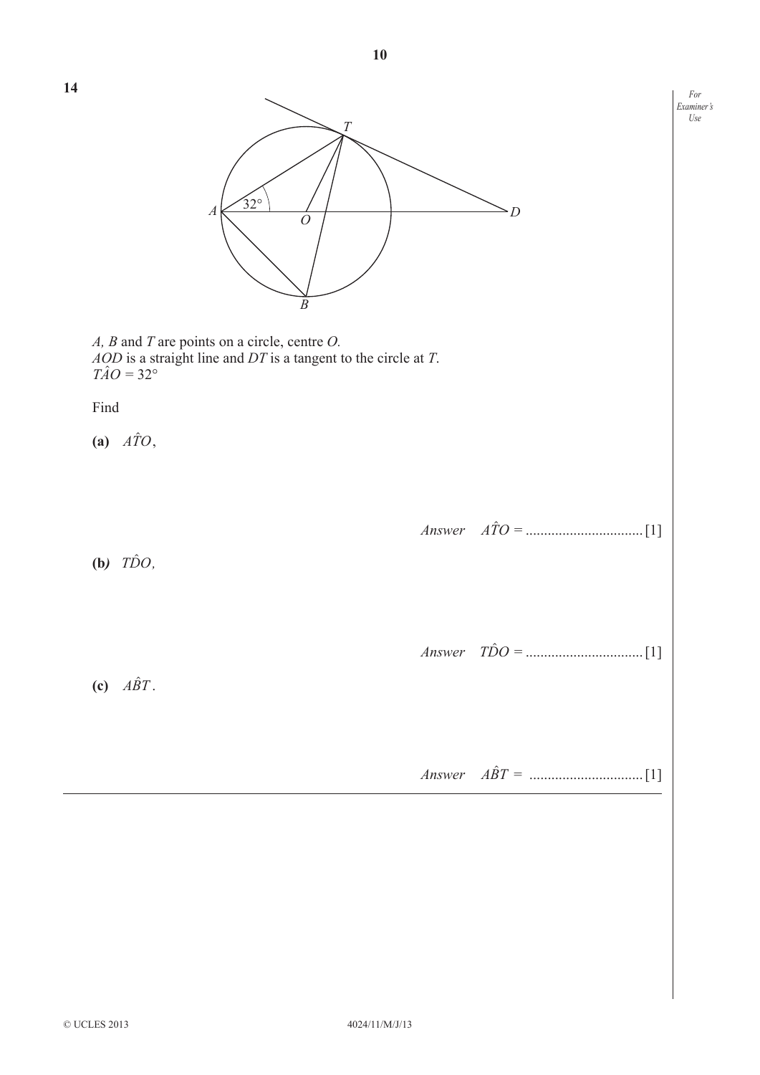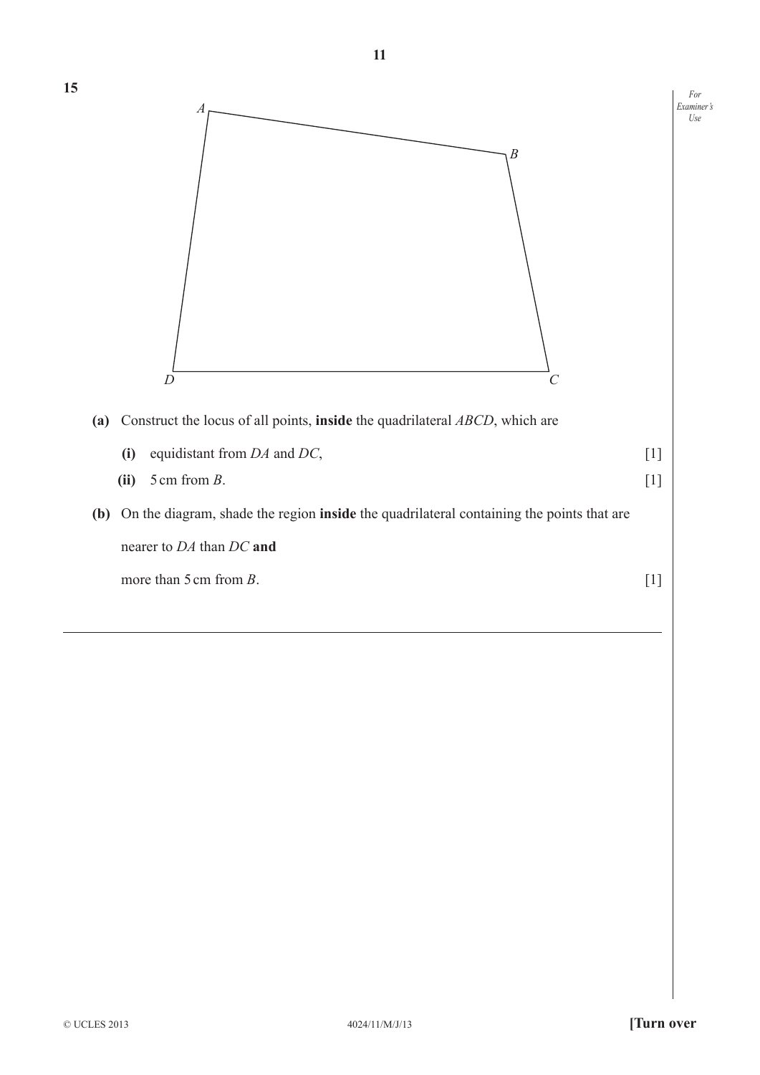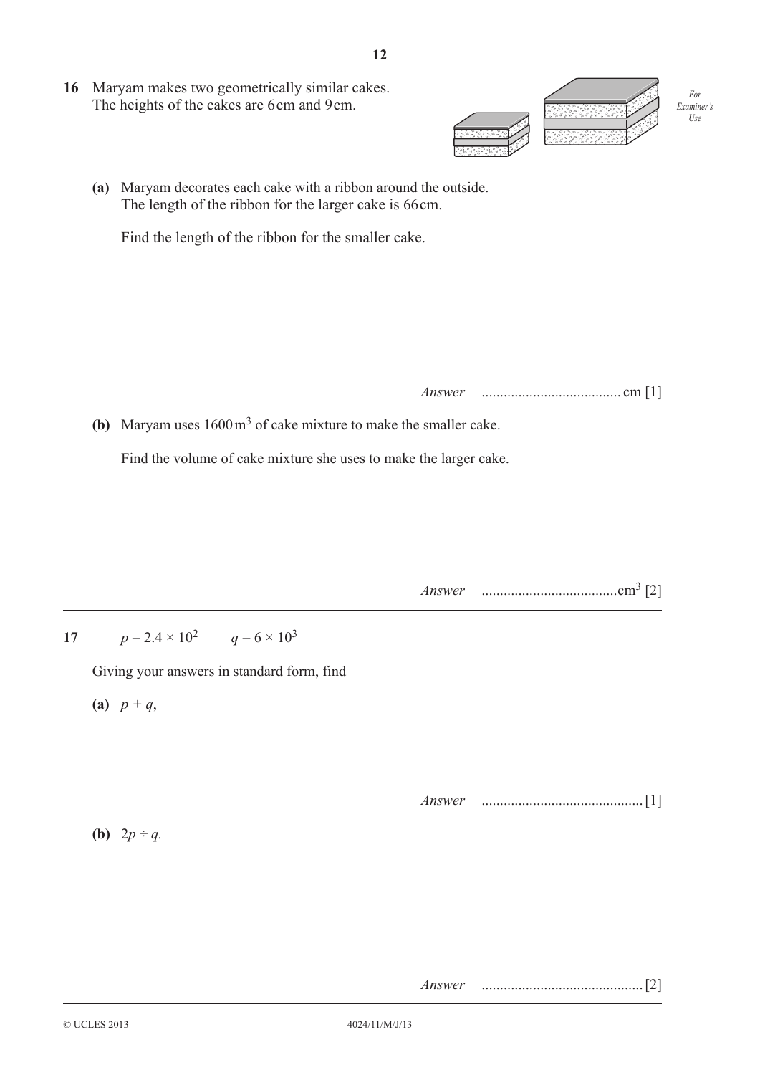**(a)** Maryam decorates each cake with a ribbon around the outside. The length of the ribbon for the larger cake is 66cm. Find the length of the ribbon for the smaller cake. *Answer* ...................................... cm [1] **(b)** Maryam uses 1600m3 of cake mixture to make the smaller cake. Find the volume of cake mixture she uses to make the larger cake. *Answer* .....................................cm3 [2] **17**  $p = 2.4 \times 10^2$   $q = 6 \times 10^3$ Giving your answers in standard form, find

**16** Maryam makes two geometrically similar cakes. The heights of the cakes are 6cm and 9cm.

**12**

(a)  $p + q$ ,

*Answer* ............................................[1]

*For Examiner's Use*

**(b)**  $2p \div q$ .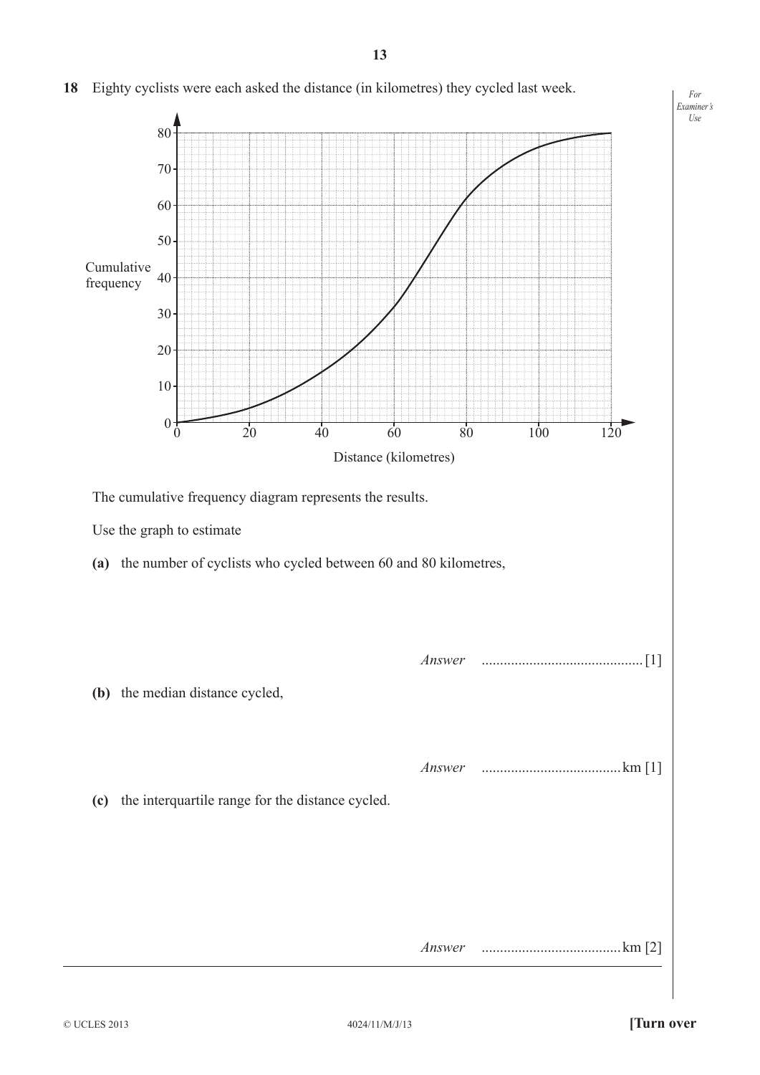

**18** Eighty cyclists were each asked the distance (in kilometres) they cycled last week.

**13**

*Answer* ......................................km [2]

*For*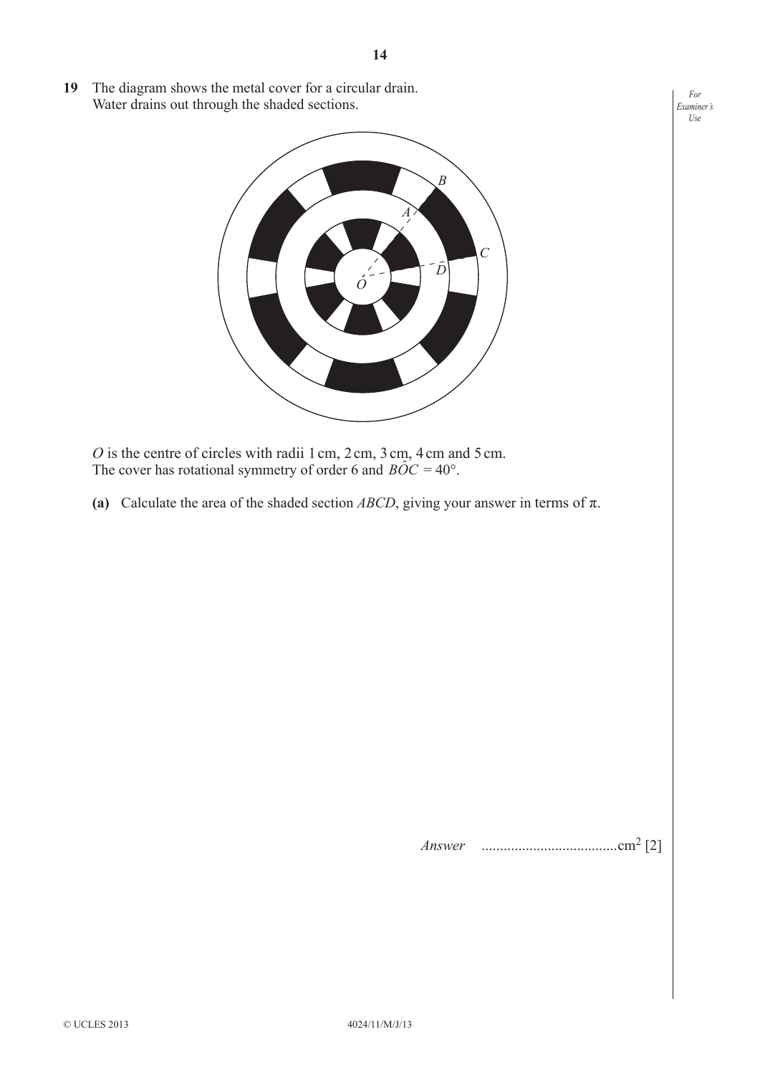**19** The diagram shows the metal cover for a circular drain. Water drains out through the shaded sections.



*O* is the centre of circles with radii 1 cm, 2 cm, 3 cm, 4 cm and 5 cm. The cover has rotational symmetry of order 6 and  $\angle BOC = 40^{\circ}$ .

**(a)** Calculate the area of the shaded section *ABCD*, giving your answer in terms of  $\pi$ .

*Answer* .....................................cm2 [2]

*For Examiner's Use*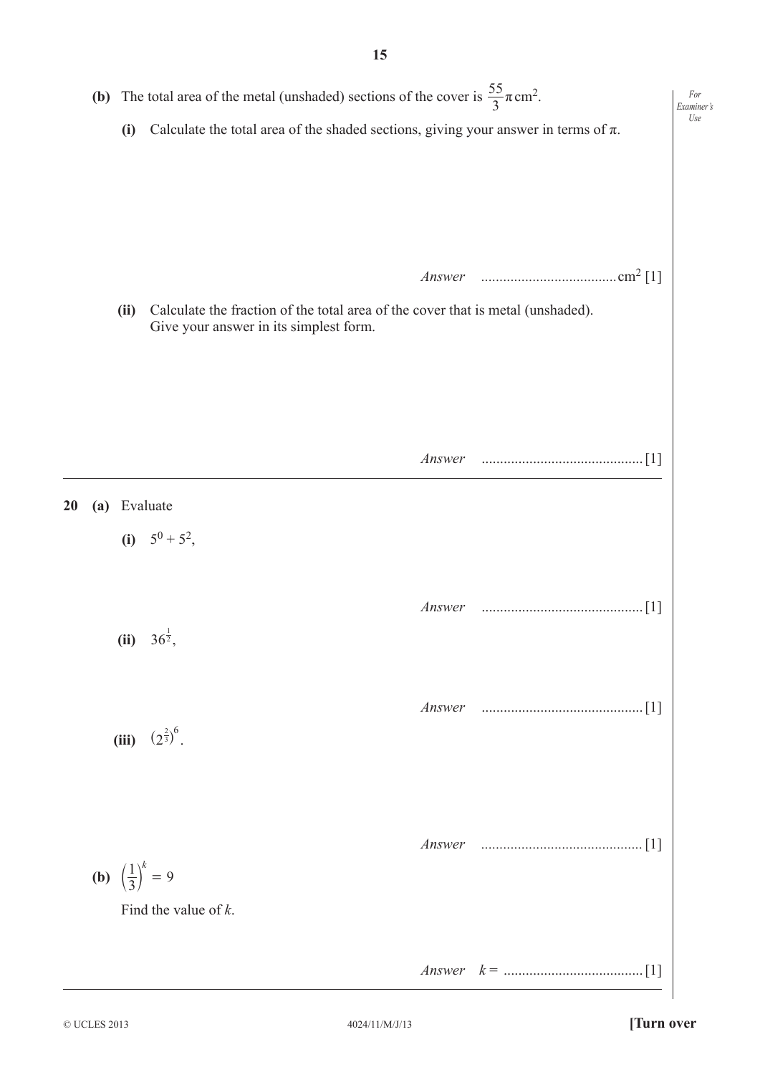|           |     |                                                                                                                                                                                                           | 15                                                                                                                        |  |  |  |
|-----------|-----|-----------------------------------------------------------------------------------------------------------------------------------------------------------------------------------------------------------|---------------------------------------------------------------------------------------------------------------------------|--|--|--|
|           |     | (b) The total area of the metal (unshaded) sections of the cover is $\frac{55}{3}\pi$ cm <sup>2</sup> .<br>Calculate the total area of the shaded sections, giving your answer in terms of $\pi$ .<br>(i) |                                                                                                                           |  |  |  |
|           |     | (ii)                                                                                                                                                                                                      | Calculate the fraction of the total area of the cover that is metal (unshaded).<br>Give your answer in its simplest form. |  |  |  |
| <b>20</b> | (a) |                                                                                                                                                                                                           | Answer<br>Evaluate<br>(i) $5^0 + 5^2$ ,                                                                                   |  |  |  |
|           |     |                                                                                                                                                                                                           | $\lceil 1 \rceil$<br>Answer<br>(ii) $36^{\frac{1}{2}}$ ,                                                                  |  |  |  |
|           |     |                                                                                                                                                                                                           | (iii) $(2^{\frac{2}{3}})^6$ .                                                                                             |  |  |  |
|           |     |                                                                                                                                                                                                           | <b>(b)</b> $\left(\frac{1}{3}\right)^k = 9$<br>Find the value of $k$ .                                                    |  |  |  |
|           |     |                                                                                                                                                                                                           |                                                                                                                           |  |  |  |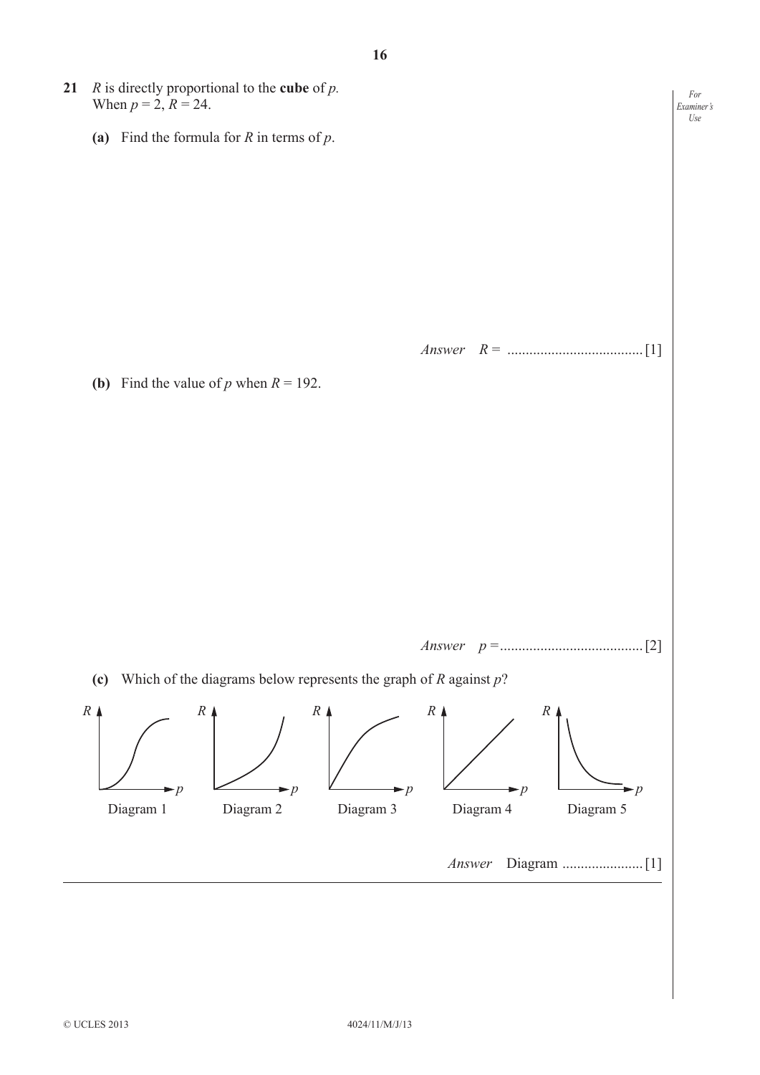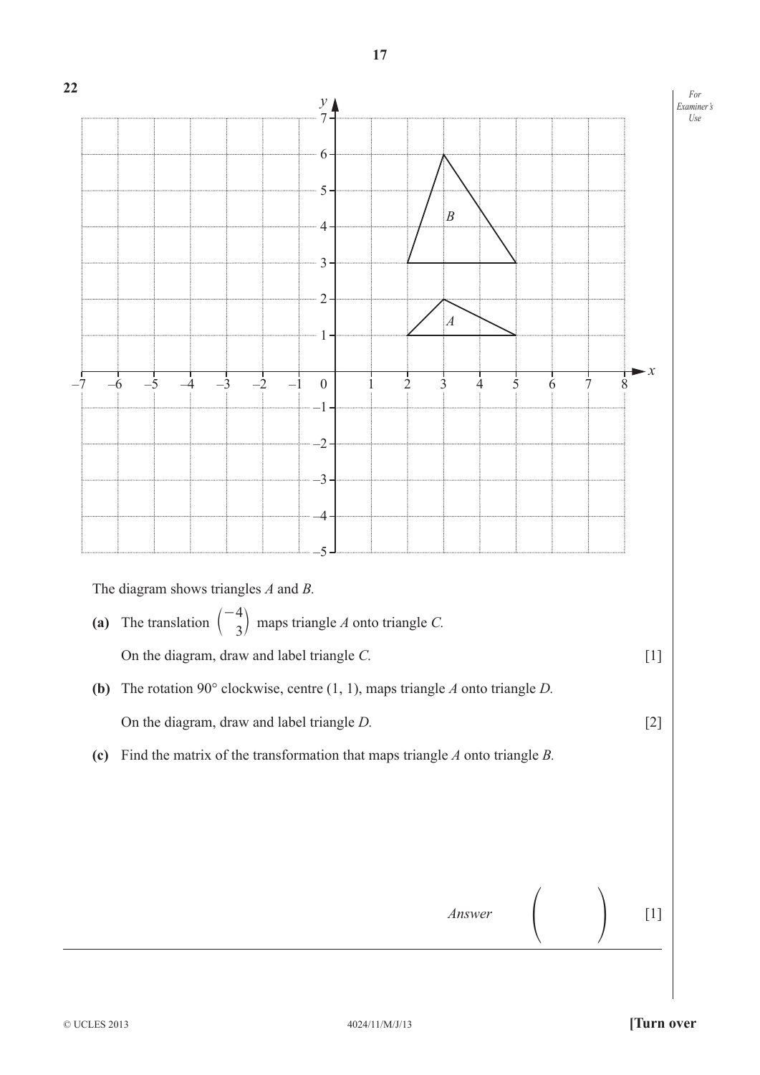

© UCLES 2013 4024/11/M/J/13 **[Turn over**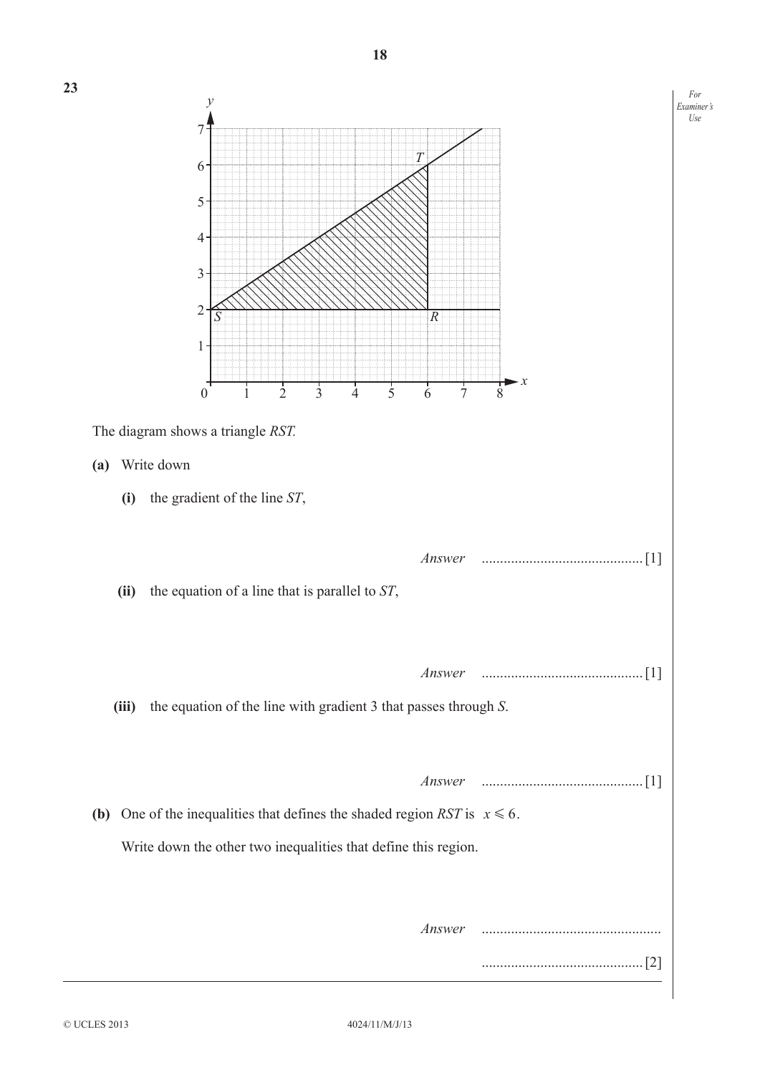

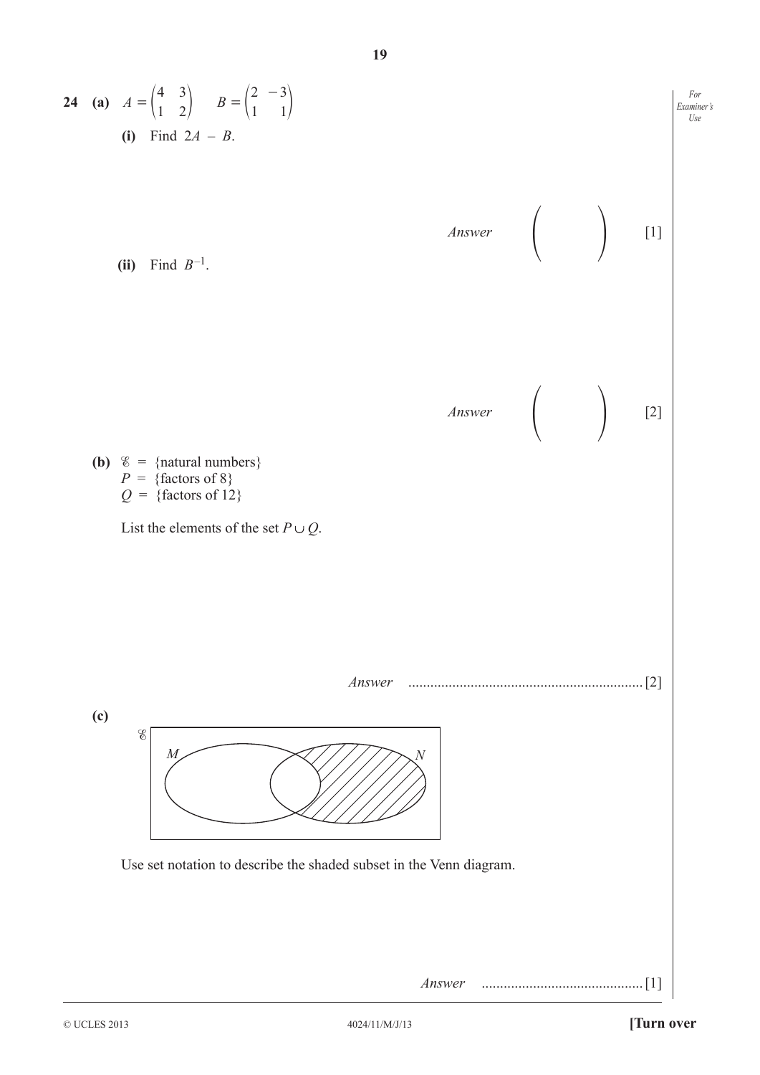24 (a) 
$$
A = \begin{pmatrix} 4 & 3 \ 1 & 2 \end{pmatrix}
$$
  $B = \begin{pmatrix} 2 & -3 \ 1 & 1 \end{pmatrix}$   
\n(b) Find  $B^{-1}$ .  
\n(b)  $\ell = \{\text{natural numbers}\}$   
\n $P = \{\text{factors of 8}\}$   
\n $Q = \{\text{factors of 12}\}$   
\n  
\n111  
\nAnswer  
\n $P = \{\text{factors of 12}\}$   
\n  
\nAnswer  
\nAnswer  
\n121  
\n  
\nAnswer  
\nAnswer  
\n13  
\nAnswer  
\n14  
\nAnswer  
\n15  
\nAnswer  
\n16  
\nAnswer  
\n17  
\nAnswer  
\n18  
\nAnswer  
\n19

**19**